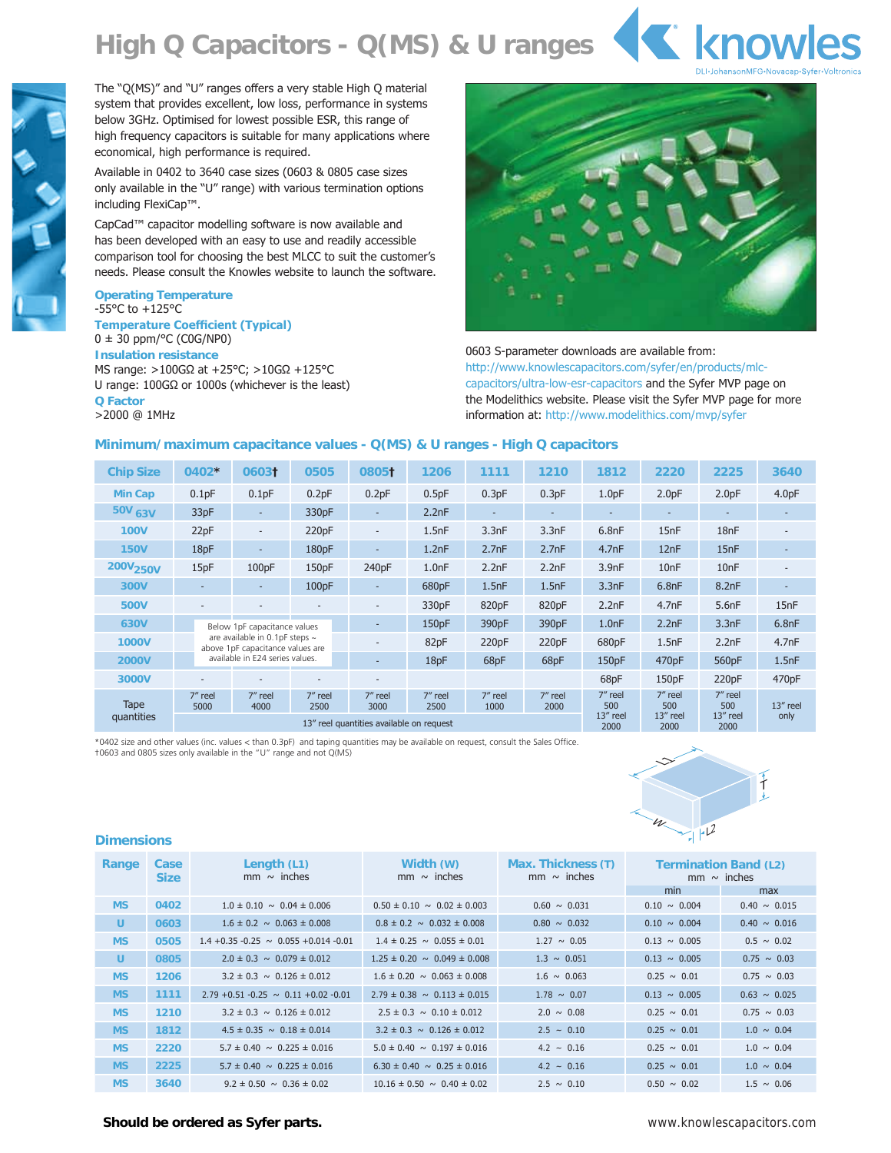## **High Q Capacitors - Q(MS) & U ranges**





The "Q(MS)" and "U" ranges offers a very stable High Q material system that provides excellent, low loss, performance in systems below 3GHz. Optimised for lowest possible ESR, this range of high frequency capacitors is suitable for many applications where economical, high performance is required.

Available in 0402 to 3640 case sizes (0603 & 0805 case sizes only available in the "U" range) with various termination options including FlexiCap™.

CapCad™ capacitor modelling software is now available and has been developed with an easy to use and readily accessible comparison tool for choosing the best MLCC to suit the customer's needs. Please consult the Knowles website to launch the software.

#### **Operating Temperature**  $-55^{\circ}$ C to  $+125^{\circ}$ C

**Temperature Coefficient (Typical)**  $0 \pm 30$  ppm/°C (C0G/NP0) **Insulation resistance** MS range:  $>100$ G $\Omega$  at +25°C;  $>10$ G $\Omega$  +125°C U range:  $100G\Omega$  or  $1000s$  (whichever is the least) **Q Factor** >2000 @ 1MHz



0603 S-parameter downloads are available from: http://www.knowlescapacitors.com/syfer/en/products/mlccapacitors/ultra-low-esr-capacitors and the Syfer MVP page on the Modelithics website. Please visit the Syfer MVP page for more information at: http://www.modelithics.com/mvp/syfer

### **Minimum/maximum capacitance values - Q(MS) & U ranges - High Q capacitors**

| <b>Chip Size</b>     | 0402*                                                                                              | 06031                    | 0505              | 08051                    | 1206            | 1111              | 1210                     | 1812              | 2220                     | 2225              | 3640              |
|----------------------|----------------------------------------------------------------------------------------------------|--------------------------|-------------------|--------------------------|-----------------|-------------------|--------------------------|-------------------|--------------------------|-------------------|-------------------|
| <b>Min Cap</b>       | 0.1pF                                                                                              | 0.1pF                    | 0.2pF             | 0.2pF                    | 0.5pF           | 0.3pF             | 0.3pF                    | 1.0 <sub>pF</sub> | 2.0 <sub>pF</sub>        | 2.0 <sub>pF</sub> | 4.0 <sub>pF</sub> |
| 50V 63V              | 33pF                                                                                               | $\overline{\phantom{a}}$ | 330 <sub>pF</sub> | $\sim$                   | 2.2nF           |                   | $\overline{\phantom{0}}$ |                   | $\overline{\phantom{0}}$ | ۰                 |                   |
| <b>100V</b>          | 22pF                                                                                               | $\sim$                   | 220pF             | $\overline{\phantom{a}}$ | 1.5nF           | 3.3nF             | 3.3nF                    | 6.8nF             | 15nF                     | 18nF              |                   |
| <b>150V</b>          | 18pF                                                                                               | $\overline{\phantom{0}}$ | 180pF             | ÷                        | 1.2nF           | 2.7nF             | 2.7nF                    | 4.7nF             | 12nF                     | 15nF              |                   |
| 200V <sub>250V</sub> | 15pF                                                                                               | 100pF                    | 150pF             | 240 <sub>pF</sub>        | 1.0nF           | 2.2nF             | 2.2nF                    | 3.9nF             | 10 <sub>nF</sub>         | 10nF              |                   |
| 300V                 |                                                                                                    | ۰                        | 100pF             | $\overline{\phantom{a}}$ | 680pF           | 1.5nF             | 1.5nF                    | 3.3nF             | 6.8nF                    | 8.2nF             |                   |
| 500V                 | ٠                                                                                                  |                          |                   | $\overline{a}$           | 330pF           | 820pF             | 820pF                    | 2.2nF             | 4.7nF                    | 5.6nF             | 15 <sub>nF</sub>  |
| 630V                 | Below 1pF capacitance values<br>are available in 0.1pF steps ~<br>above 1pF capacitance values are |                          |                   | ۰                        | 150pF           | 390 <sub>pF</sub> | 390 <sub>pF</sub>        | 1.0nF             | 2.2nF                    | 3.3nF             | 6.8nF             |
| <b>1000V</b>         |                                                                                                    |                          |                   | -                        | 82pF            | 220pF             | 220pF                    | 680 <sub>pF</sub> | 1.5nF                    | 2.2nF             | 4.7nF             |
| <b>2000V</b>         | available in E24 series values.                                                                    |                          | ÷                 | 18pF                     | 68pF            | 68pF              | 150pF                    | 470pF             | 560pF                    | 1.5nF             |                   |
| 3000V                |                                                                                                    |                          |                   | $\overline{\phantom{0}}$ |                 |                   |                          | 68pF              | 150pF                    | 220pF             | 470pF             |
| Tape<br>quantities   | 7" reel<br>5000                                                                                    | 7" reel<br>4000          | 7" reel<br>2500   | 7" reel<br>3000          | 7" reel<br>2500 | 7" reel<br>1000   | 7" reel<br>2000          | 7" reel<br>500    | 7" reel<br>500           | 7" reel<br>500    | 13" reel          |
|                      | 13" reel quantities available on request                                                           |                          |                   |                          |                 |                   |                          | 13" reel<br>2000  | 13" reel<br>2000         | 13" reel<br>2000  | only              |

\*0402 size and other values (inc. values < than 0.3pF) and taping quantities may be available on request, consult the Sales Office. †0603 and 0805 sizes only available in the "U" range and not Q(MS)



#### **Dimensions**

| Range     | Case<br><b>Size</b> | Length $(L1)$<br>mm $\sim$ inches             | Width (W)<br>mm $\sim$ inches        | Max. Thickness (T)<br>$mm \sim$ inches | <b>Termination Band (L2)</b><br>$mm \sim$ inches |                   |  |
|-----------|---------------------|-----------------------------------------------|--------------------------------------|----------------------------------------|--------------------------------------------------|-------------------|--|
|           |                     |                                               |                                      |                                        | min                                              | max               |  |
| <b>MS</b> | 0402                | $1.0 \pm 0.10 \sim 0.04 \pm 0.006$            | $0.50 \pm 0.10 \sim 0.02 \pm 0.003$  | $0.60 \sim 0.031$                      | $0.10 \sim 0.004$                                | $0.40 \sim 0.015$ |  |
| U         | 0603                | $1.6 \pm 0.2 \sim 0.063 \pm 0.008$            | $0.8 \pm 0.2 \sim 0.032 \pm 0.008$   | $0.80 \sim 0.032$                      | $0.10 \sim 0.004$                                | $0.40 \sim 0.016$ |  |
| <b>MS</b> | 0505                | $1.4 + 0.35 - 0.25 \sim 0.055 + 0.014 - 0.01$ | $1.4 \pm 0.25 \sim 0.055 \pm 0.01$   | $1.27 \sim 0.05$                       | $0.13 \sim 0.005$                                | $0.5 \sim 0.02$   |  |
| U.        | 0805                | $2.0 \pm 0.3 \sim 0.079 \pm 0.012$            | $1.25 \pm 0.20 \sim 0.049 \pm 0.008$ | $1.3 \sim 0.051$                       | $0.13 \sim 0.005$                                | $0.75 \sim 0.03$  |  |
| <b>MS</b> | 1206                | $3.2 \pm 0.3 \sim 0.126 \pm 0.012$            | $1.6 \pm 0.20 \sim 0.063 \pm 0.008$  | $1.6 \sim 0.063$                       | $0.25 \sim 0.01$                                 | $0.75 \sim 0.03$  |  |
| <b>MS</b> | 1111                | $2.79 + 0.51 - 0.25 \sim 0.11 + 0.02 - 0.01$  | $2.79 \pm 0.38 \sim 0.113 \pm 0.015$ | $1.78 \sim 0.07$                       | $0.13 \sim 0.005$                                | $0.63 \sim 0.025$ |  |
| <b>MS</b> | 1210                | $3.2 \pm 0.3 \sim 0.126 \pm 0.012$            | $2.5 \pm 0.3 \sim 0.10 \pm 0.012$    | $2.0 \sim 0.08$                        | $0.25 \sim 0.01$                                 | $0.75 \sim 0.03$  |  |
| <b>MS</b> | 1812                | $4.5 \pm 0.35 \sim 0.18 \pm 0.014$            | $3.2 \pm 0.3 \sim 0.126 \pm 0.012$   | $2.5 - 0.10$                           | $0.25 \sim 0.01$                                 | $1.0 \sim 0.04$   |  |
| <b>MS</b> | 2220                | $5.7 \pm 0.40 \sim 0.225 \pm 0.016$           | $5.0 \pm 0.40 \sim 0.197 \pm 0.016$  | $4.2 - 0.16$                           | $0.25 \sim 0.01$                                 | $1.0 \sim 0.04$   |  |
| <b>MS</b> | 2225                | $5.7 \pm 0.40 \sim 0.225 \pm 0.016$           | $6.30 \pm 0.40 \sim 0.25 \pm 0.016$  | $4.2 - 0.16$                           | $0.25 \sim 0.01$                                 | $1.0 \sim 0.04$   |  |
| <b>MS</b> | 3640                | $9.2 \pm 0.50 \sim 0.36 \pm 0.02$             | $10.16 \pm 0.50 \sim 0.40 \pm 0.02$  | $2.5 \sim 0.10$                        | $0.50 \sim 0.02$                                 | $1.5 \sim 0.06$   |  |